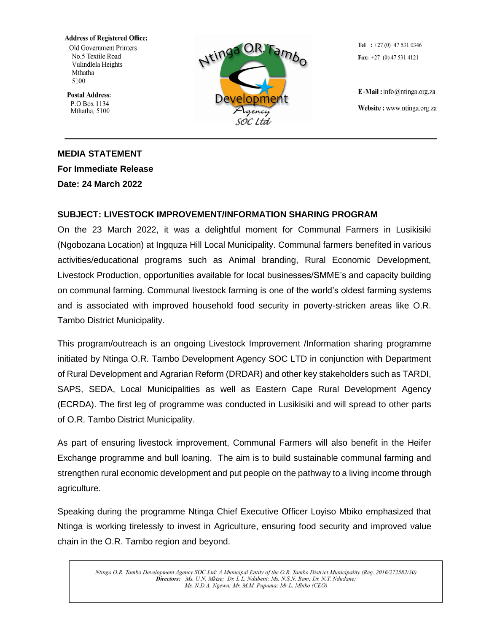**Address of Registered Office:** Old Government Printers

No.5 Textile Road Vulindlela Heights Mthatha 5100

**Postal Address:** P.O Box 1134 Mthatha, 5100



Tel :  $+27(0)$  47 531 0346 Fax:  $+27$  (0) 47 531 4121

E-Mail: info@ntinga.org.za Website: www.ntinga.org.za

## **MEDIA STATEMENT For Immediate Release Date: 24 March 2022**

## **SUBJECT: LIVESTOCK IMPROVEMENT/INFORMATION SHARING PROGRAM**

On the 23 March 2022, it was a delightful moment for Communal Farmers in Lusikisiki (Ngobozana Location) at Ingquza Hill Local Municipality. Communal farmers benefited in various activities/educational programs such as Animal branding, Rural Economic Development, Livestock Production, opportunities available for local businesses/SMME's and capacity building on communal farming. Communal livestock farming is one of the world's oldest farming systems and is associated with improved household food security in poverty-stricken areas like O.R. Tambo District Municipality.

This program/outreach is an ongoing Livestock Improvement /Information sharing programme initiated by Ntinga O.R. Tambo Development Agency SOC LTD in conjunction with Department of Rural Development and Agrarian Reform (DRDAR) and other key stakeholders such as TARDI, SAPS, SEDA, Local Municipalities as well as Eastern Cape Rural Development Agency (ECRDA). The first leg of programme was conducted in Lusikisiki and will spread to other parts of O.R. Tambo District Municipality.

As part of ensuring livestock improvement, Communal Farmers will also benefit in the Heifer Exchange programme and bull loaning. The aim is to build sustainable communal farming and strengthen rural economic development and put people on the pathway to a living income through agriculture.

Speaking during the programme Ntinga Chief Executive Officer Loyiso Mbiko emphasized that Ntinga is working tirelessly to invest in Agriculture, ensuring food security and improved value chain in the O.R. Tambo region and beyond.

Ntinga O.R. Tambo Development Agency SOC Ltd: A Municipal Entity of the O.R. Tambo District Municipality (Reg. 2016/272582/30) Directors: Ms. U.N. Mkize; Dr. L.L. Ndabeni; Ms. N.S.N. Bam; Dr. N.T. Ndudane; Ms. N.D.A. Ngewu; Mr. M.M. Pupuma; Mr L. Mbiko (CEO)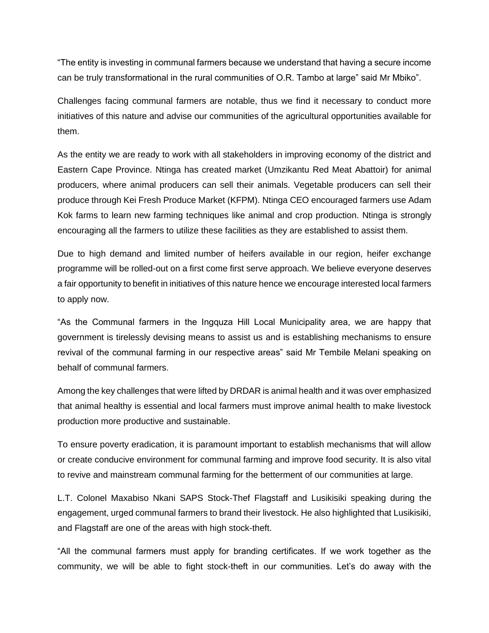"The entity is investing in communal farmers because we understand that having a secure income can be truly transformational in the rural communities of O.R. Tambo at large" said Mr Mbiko".

Challenges facing communal farmers are notable, thus we find it necessary to conduct more initiatives of this nature and advise our communities of the agricultural opportunities available for them.

As the entity we are ready to work with all stakeholders in improving economy of the district and Eastern Cape Province. Ntinga has created market (Umzikantu Red Meat Abattoir) for animal producers, where animal producers can sell their animals. Vegetable producers can sell their produce through Kei Fresh Produce Market (KFPM). Ntinga CEO encouraged farmers use Adam Kok farms to learn new farming techniques like animal and crop production. Ntinga is strongly encouraging all the farmers to utilize these facilities as they are established to assist them.

Due to high demand and limited number of heifers available in our region, heifer exchange programme will be rolled-out on a first come first serve approach. We believe everyone deserves a fair opportunity to benefit in initiatives of this nature hence we encourage interested local farmers to apply now.

"As the Communal farmers in the Ingquza Hill Local Municipality area, we are happy that government is tirelessly devising means to assist us and is establishing mechanisms to ensure revival of the communal farming in our respective areas" said Mr Tembile Melani speaking on behalf of communal farmers.

Among the key challenges that were lifted by DRDAR is animal health and it was over emphasized that animal healthy is essential and local farmers must improve animal health to make livestock production more productive and sustainable.

To ensure poverty eradication, it is paramount important to establish mechanisms that will allow or create conducive environment for communal farming and improve food security. It is also vital to revive and mainstream communal farming for the betterment of our communities at large.

L.T. Colonel Maxabiso Nkani SAPS Stock-Thef Flagstaff and Lusikisiki speaking during the engagement, urged communal farmers to brand their livestock. He also highlighted that Lusikisiki, and Flagstaff are one of the areas with high stock-theft.

"All the communal farmers must apply for branding certificates. If we work together as the community, we will be able to fight stock-theft in our communities. Let's do away with the